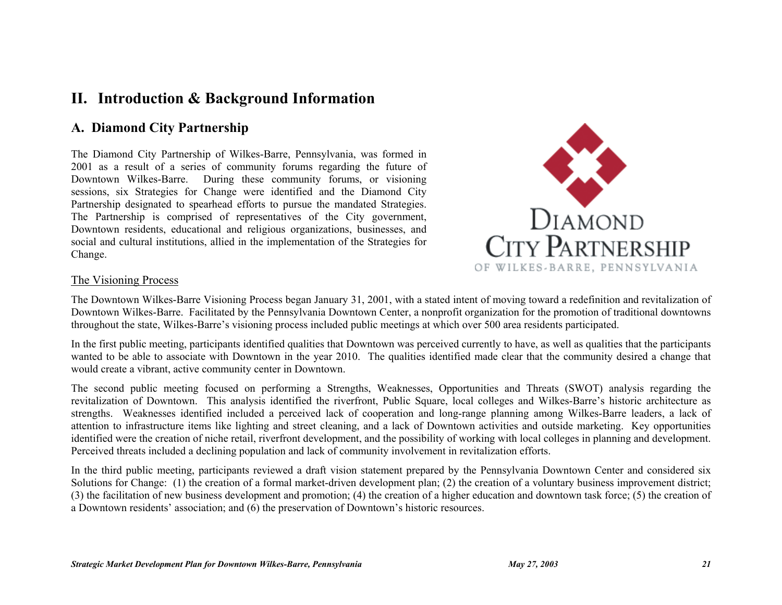# **II. Introduction & Background Information**

# **A. Diamond City Partnership**

The Diamond City Partnership of Wilkes-Barre, Pennsylvania, was formed in 2001 as a result of a series of community forums regarding the future of Downtown Wilkes-Barre. During these community forums, or visioning sessions, six Strategies for Change were identified and the Diamond City Partnership designated to spearhead efforts to pursue the mandated Strategies. The Partnership is comprised of representatives of the City government, Downtown residents, educational and religious organizations, businesses, and social and cultural institutions, allied in the implementation of the Strategies for Change.



#### The Visioning Process

The Downtown Wilkes-Barre Visioning Process began January 31, 2001, with a stated intent of moving toward a redefinition and revitalization of Downtown Wilkes-Barre. Facilitated by the Pennsylvania Downtown Center, a nonprofit organization for the promotion of traditional downtowns throughout the state, Wilkes-Barre's visioning process included public meetings at which over 500 area residents participated.

In the first public meeting, participants identified qualities that Downtown was perceived currently to have, as well as qualities that the participants wanted to be able to associate with Downtown in the year 2010. The qualities identified made clear that the community desired a change that would create a vibrant, active community center in Downtown.

The second public meeting focused on performing a Strengths, Weaknesses, Opportunities and Threats (SWOT) analysis regarding the revitalization of Downtown. This analysis identified the riverfront, Public Square, local colleges and Wilkes-Barre's historic architecture as strengths. Weaknesses identified included a perceived lack of cooperation and long-range planning among Wilkes-Barre leaders, a lack of attention to infrastructure items like lighting and street cleaning, and a lack of Downtown activities and outside marketing. Key opportunities identified were the creation of niche retail, riverfront development, and the possibility of working with local colleges in planning and development. Perceived threats included a declining population and lack of community involvement in revitalization efforts.

In the third public meeting, participants reviewed a draft vision statement prepared by the Pennsylvania Downtown Center and considered six Solutions for Change: (1) the creation of a formal market-driven development plan; (2) the creation of a voluntary business improvement district; (3) the facilitation of new business development and promotion; (4) the creation of a higher education and downtown task force; (5) the creation of a Downtown residents' association; and (6) the preservation of Downtown's historic resources.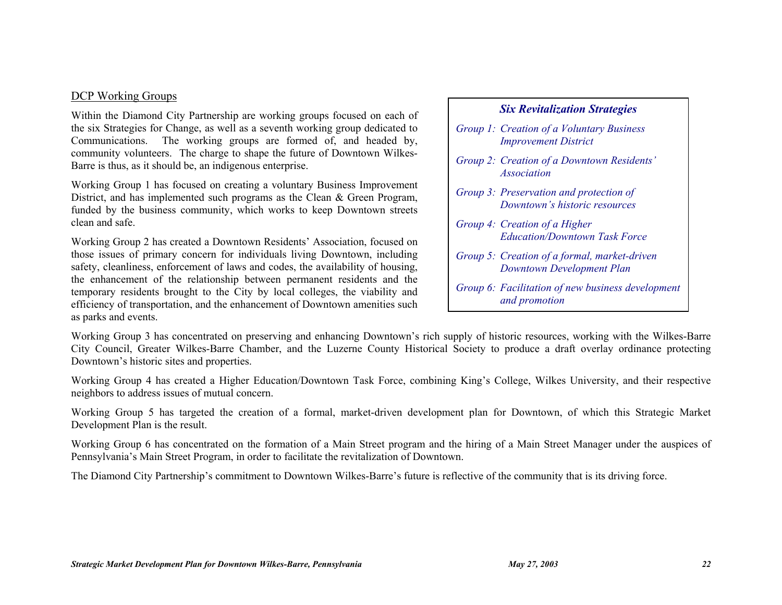#### DCP Working Groups

Within the Diamond City Partnership are working groups focused on each of the six Strategies for Change, as well as a seventh working group dedicated to Communications. The working groups are formed of, and headed by, community volunteers. The charge to shape the future of Downtown Wilkes-Barre is thus, as it should be, an indigenous enterprise.

Working Group 1 has focused on creating a voluntary Business Improvement District, and has implemented such programs as the Clean & Green Program, funded by the business community, which works to keep Downtown streets clean and safe.

Working Group 2 has created a Downtown Residents' Association, focused on those issues of primary concern for individuals living Downtown, including safety, cleanliness, enforcement of laws and codes, the availability of housing, the enhancement of the relationship between permanent residents and the temporary residents brought to the City by local colleges, the viability and efficiency of transportation, and the enhancement of Downtown amenities such as parks and events.

#### *Six Revitalization Strategies*

- *Group 1: Creation of a Voluntary Business Improvement District*
- *Group 2: Creation of a Downtown Residents' Association*
- *Group 3: Preservation and protection of Downtown's historic resources*
- *Group 4: Creation of a Higher Education/Downtown Task Force*
- *Group 5: Creation of a formal, market-driven Downtown Development Plan*
- *Group 6: Facilitation of new business development and promotion*

Working Group 3 has concentrated on preserving and enhancing Downtown's rich supply of historic resources, working with the Wilkes-Barre City Council, Greater Wilkes-Barre Chamber, and the Luzerne County Historical Society to produce a draft overlay ordinance protecting Downtown's historic sites and properties.

Working Group 4 has created a Higher Education/Downtown Task Force, combining King's College, Wilkes University, and their respective neighbors to address issues of mutual concern.

Working Group 5 has targeted the creation of a formal, market-driven development plan for Downtown, of which this Strategic Market Development Plan is the result.

Working Group 6 has concentrated on the formation of a Main Street program and the hiring of a Main Street Manager under the auspices of Pennsylvania's Main Street Program, in order to facilitate the revitalization of Downtown.

The Diamond City Partnership's commitment to Downtown Wilkes-Barre's future is reflective of the community that is its driving force.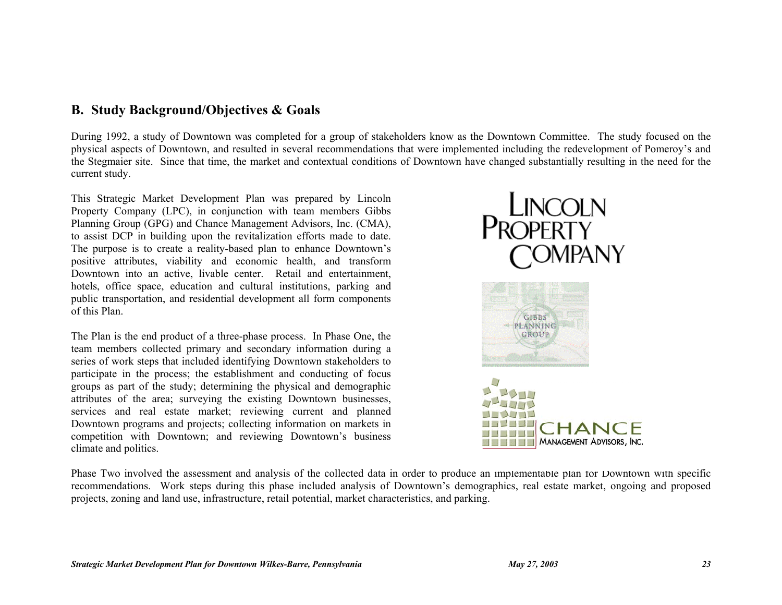# **B. Study Background/Objectives & Goals**

During 1992, a study of Downtown was completed for a group of stakeholders know as the Downtown Committee. The study focused on the physical aspects of Downtown, and resulted in several recommendations that were implemented including the redevelopment of Pomeroy's and the Stegmaier site. Since that time, the market and contextual conditions of Downtown have changed substantially resulting in the need for the current study.

This Strategic Market Development Plan was prepared by Lincoln Property Company (LPC), in conjunction with team members Gibbs Planning Group (GPG) and Chance Management Advisors, Inc. (CMA), to assist DCP in building upon the revitalization efforts made to date. The purpose is to create a reality-based plan to enhance Downtown's positive attributes, viability and economic health, and transform Downtown into an active, livable center. Retail and entertainment, hotels, office space, education and cultural institutions, parking and public transportation, and residential development all form components of this Plan.

The Plan is the end product of a three-phase process. In Phase One, the team members collected primary and secondary information during a series of work steps that included identifying Downtown stakeholders to participate in the process; the establishment and conducting of focus groups as part of the study; determining the physical and demographic attributes of the area; surveying the existing Downtown businesses, services and real estate market; reviewing current and planned Downtown programs and projects; collecting information on markets in competition with Downtown; and reviewing Downtown's business climate and politics.







Phase Two involved the assessment and analysis of the collected data in order to produce an implementable plan for Downtown with specific recommendations. Work steps during this phase included analysis of Downtown's demographics, real estate market, ongoing and proposed projects, zoning and land use, infrastructure, retail potential, market characteristics, and parking.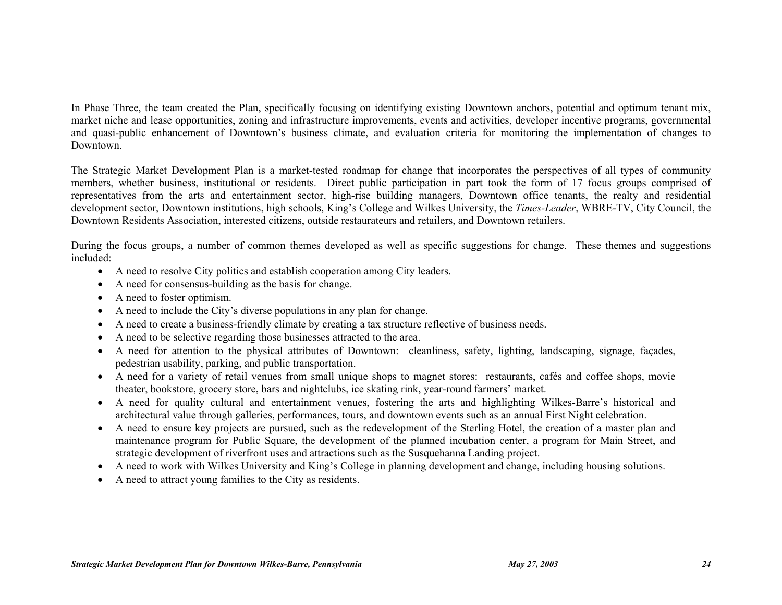In Phase Three, the team created the Plan, specifically focusing on identifying existing Downtown anchors, potential and optimum tenant mix, market niche and lease opportunities, zoning and infrastructure improvements, events and activities, developer incentive programs, governmental and quasi-public enhancement of Downtown's business climate, and evaluation criteria for monitoring the implementation of changes to Downtown.

The Strategic Market Development Plan is a market-tested roadmap for change that incorporates the perspectives of all types of community members, whether business, institutional or residents. Direct public participation in part took the form of 17 focus groups comprised of representatives from the arts and entertainment sector, high-rise building managers, Downtown office tenants, the realty and residential development sector, Downtown institutions, high schools, King's College and Wilkes University, the *Times-Leader*, WBRE-TV, City Council, the Downtown Residents Association, interested citizens, outside restaurateurs and retailers, and Downtown retailers.

During the focus groups, a number of common themes developed as well as specific suggestions for change. These themes and suggestions included:

- A need to resolve City politics and establish cooperation among City leaders.
- A need for consensus-building as the basis for change.
- A need to foster optimism.
- A need to include the City's diverse populations in any plan for change.
- A need to create a business-friendly climate by creating a tax structure reflective of business needs.
- A need to be selective regarding those businesses attracted to the area.
- A need for attention to the physical attributes of Downtown: cleanliness, safety, lighting, landscaping, signage, façades, pedestrian usability, parking, and public transportation.
- A need for a variety of retail venues from small unique shops to magnet stores: restaurants, cafés and coffee shops, movie theater, bookstore, grocery store, bars and nightclubs, ice skating rink, year-round farmers' market.
- A need for quality cultural and entertainment venues, fostering the arts and highlighting Wilkes-Barre's historical and architectural value through galleries, performances, tours, and downtown events such as an annual First Night celebration.
- A need to ensure key projects are pursued, such as the redevelopment of the Sterling Hotel, the creation of a master plan and maintenance program for Public Square, the development of the planned incubation center, a program for Main Street, and strategic development of riverfront uses and attractions such as the Susquehanna Landing project.
- A need to work with Wilkes University and King's College in planning development and change, including housing solutions.
- A need to attract young families to the City as residents.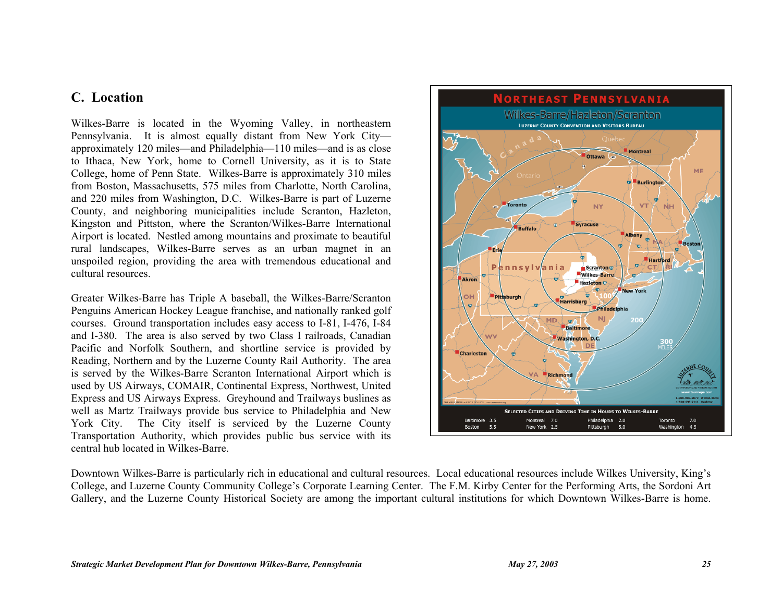# **C. Location**

Wilkes-Barre is located in the Wyoming Valley, in northeastern Pennsylvania. It is almost equally distant from New York City approximately 120 miles—and Philadelphia—110 miles—and is as close to Ithaca, New York, home to Cornell University, as it is to State College, home of Penn State. Wilkes-Barre is approximately 310 miles from Boston, Massachusetts, 575 miles from Charlotte, North Carolina, and 220 miles from Washington, D.C. Wilkes-Barre is part of Luzerne County, and neighboring municipalities include Scranton, Hazleton, Kingston and Pittston, where the Scranton/Wilkes-Barre International Airport is located. Nestled among mountains and proximate to beautiful rural landscapes, Wilkes-Barre serves as an urban magnet in an unspoiled region, providing the area with tremendous educational and cultural resources.

Greater Wilkes-Barre has Triple A baseball, the Wilkes-Barre/Scranton Penguins American Hockey League franchise, and nationally ranked golf courses. Ground transportation includes easy access to I-81, I-476, I-84 and I-380. The area is also served by two Class I railroads, Canadian Pacific and Norfolk Southern, and shortline service is provided by Reading, Northern and by the Luzerne County Rail Authority. The area is served by the Wilkes-Barre Scranton International Airport which is used by US Airways, COMAIR, Continental Express, Northwest, United Express and US Airways Express. Greyhound and Trailways buslines as well as Martz Trailways provide bus service to Philadelphia and New York City. The City itself is serviced by the Luzerne County Transportation Authority, which provides public bus service with its central hub located in Wilkes-Barre.



Downtown Wilkes-Barre is particularly rich in educational and cultural resources. Local educational resources include Wilkes University, King's College, and Luzerne County Community College's Corporate Learning Center. The F.M. Kirby Center for the Performing Arts, the Sordoni Art Gallery, and the Luzerne County Historical Society are among the important cultural institutions for which Downtown Wilkes-Barre is home.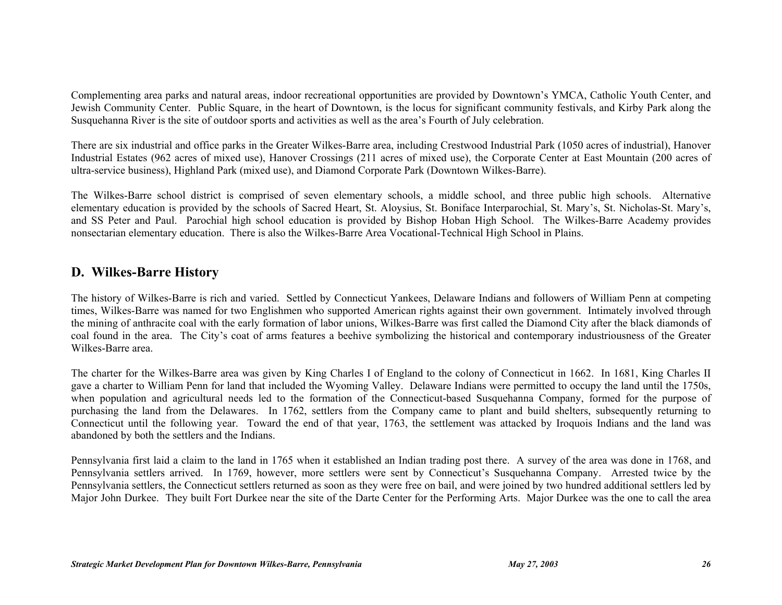Complementing area parks and natural areas, indoor recreational opportunities are provided by Downtown's YMCA, Catholic Youth Center, and Jewish Community Center. Public Square, in the heart of Downtown, is the locus for significant community festivals, and Kirby Park along the Susquehanna River is the site of outdoor sports and activities as well as the area's Fourth of July celebration.

There are six industrial and office parks in the Greater Wilkes-Barre area, including Crestwood Industrial Park (1050 acres of industrial), Hanover Industrial Estates (962 acres of mixed use), Hanover Crossings (211 acres of mixed use), the Corporate Center at East Mountain (200 acres of ultra-service business), Highland Park (mixed use), and Diamond Corporate Park (Downtown Wilkes-Barre).

The Wilkes-Barre school district is comprised of seven elementary schools, a middle school, and three public high schools. Alternative elementary education is provided by the schools of Sacred Heart, St. Aloysius, St. Boniface Interparochial, St. Mary's, St. Nicholas-St. Mary's, and SS Peter and Paul. Parochial high school education is provided by Bishop Hoban High School. The Wilkes-Barre Academy provides nonsectarian elementary education. There is also the Wilkes-Barre Area Vocational-Technical High School in Plains.

## **D. Wilkes-Barre History**

The history of Wilkes-Barre is rich and varied. Settled by Connecticut Yankees, Delaware Indians and followers of William Penn at competing times, Wilkes-Barre was named for two Englishmen who supported American rights against their own government. Intimately involved through the mining of anthracite coal with the early formation of labor unions, Wilkes-Barre was first called the Diamond City after the black diamonds of coal found in the area. The City's coat of arms features a beehive symbolizing the historical and contemporary industriousness of the Greater Wilkes-Barre area.

The charter for the Wilkes-Barre area was given by King Charles I of England to the colony of Connecticut in 1662. In 1681, King Charles II gave a charter to William Penn for land that included the Wyoming Valley. Delaware Indians were permitted to occupy the land until the 1750s, when population and agricultural needs led to the formation of the Connecticut-based Susquehanna Company, formed for the purpose of purchasing the land from the Delawares. In 1762, settlers from the Company came to plant and build shelters, subsequently returning to Connecticut until the following year. Toward the end of that year, 1763, the settlement was attacked by Iroquois Indians and the land was abandoned by both the settlers and the Indians.

Pennsylvania first laid a claim to the land in 1765 when it established an Indian trading post there. A survey of the area was done in 1768, and Pennsylvania settlers arrived. In 1769, however, more settlers were sent by Connecticut's Susquehanna Company. Arrested twice by the Pennsylvania settlers, the Connecticut settlers returned as soon as they were free on bail, and were joined by two hundred additional settlers led by Major John Durkee. They built Fort Durkee near the site of the Darte Center for the Performing Arts. Major Durkee was the one to call the area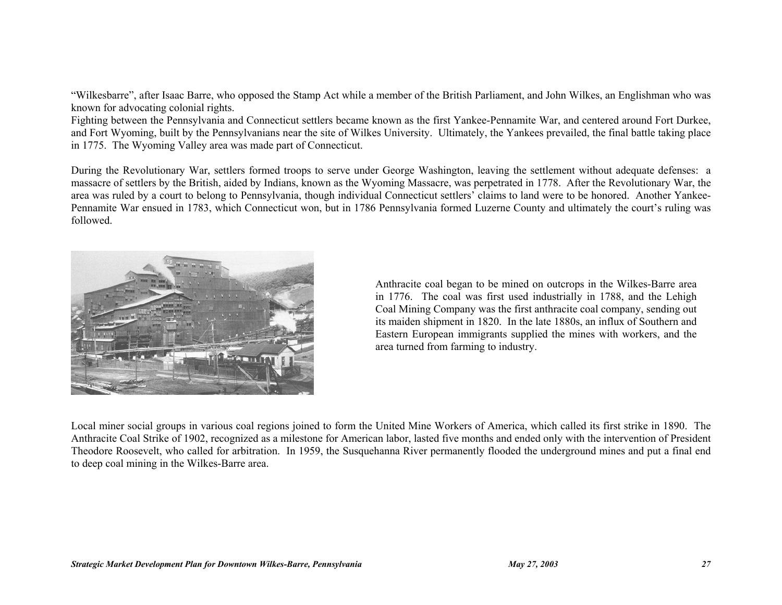"Wilkesbarre", after Isaac Barre, who opposed the Stamp Act while a member of the British Parliament, and John Wilkes, an Englishman who was known for advocating colonial rights.

Fighting between the Pennsylvania and Connecticut settlers became known as the first Yankee-Pennamite War, and centered around Fort Durkee, and Fort Wyoming, built by the Pennsylvanians near the site of Wilkes University. Ultimately, the Yankees prevailed, the final battle taking place in 1775. The Wyoming Valley area was made part of Connecticut.

During the Revolutionary War, settlers formed troops to serve under George Washington, leaving the settlement without adequate defenses: a massacre of settlers by the British, aided by Indians, known as the Wyoming Massacre, was perpetrated in 1778. After the Revolutionary War, the area was ruled by a court to belong to Pennsylvania, though individual Connecticut settlers' claims to land were to be honored. Another Yankee-Pennamite War ensued in 1783, which Connecticut won, but in 1786 Pennsylvania formed Luzerne County and ultimately the court's ruling was followed.



Anthracite coal began to be mined on outcrops in the Wilkes-Barre area in 1776. The coal was first used industrially in 1788, and the Lehigh Coal Mining Company was the first anthracite coal company, sending out its maiden shipment in 1820. In the late 1880s, an influx of Southern and Eastern European immigrants supplied the mines with workers, and the area turned from farming to industry.

Local miner social groups in various coal regions joined to form the United Mine Workers of America, which called its first strike in 1890. The Anthracite Coal Strike of 1902, recognized as a milestone for American labor, lasted five months and ended only with the intervention of President Theodore Roosevelt, who called for arbitration. In 1959, the Susquehanna River permanently flooded the underground mines and put a final end to deep coal mining in the Wilkes-Barre area.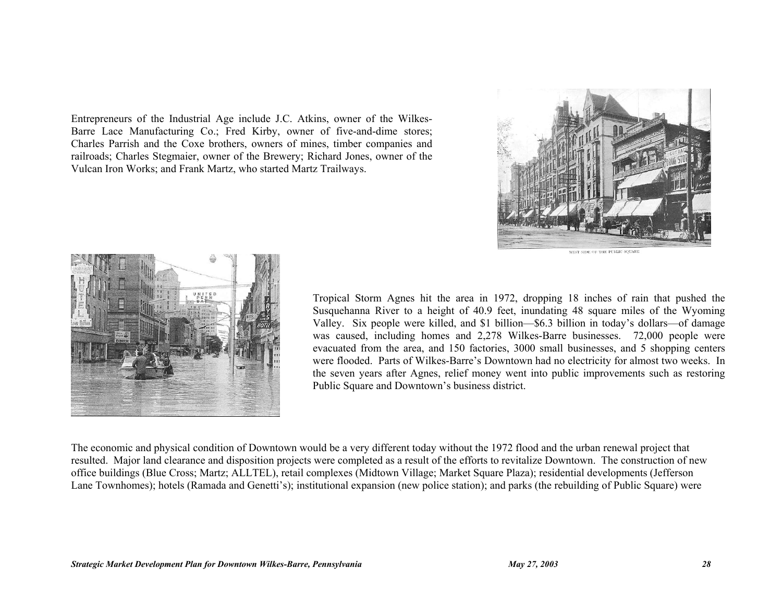Entrepreneurs of the Industrial Age include J.C. Atkins, owner of the Wilkes-Barre Lace Manufacturing Co.; Fred Kirby, owner of five-and-dime stores; Charles Parrish and the Coxe brothers, owners of mines, timber companies and railroads; Charles Stegmaier, owner of the Brewery; Richard Jones, owner of the Vulcan Iron Works; and Frank Martz, who started Martz Trailways.





Tropical Storm Agnes hit the area in 1972, dropping 18 inches of rain that pushed the Susquehanna River to a height of 40.9 feet, inundating 48 square miles of the Wyoming Valley. Six people were killed, and \$1 billion—\$6.3 billion in today's dollars—of damage was caused, including homes and 2,278 Wilkes-Barre businesses. 72,000 people were evacuated from the area, and 150 factories, 3000 small businesses, and 5 shopping centers were flooded. Parts of Wilkes-Barre's Downtown had no electricity for almost two weeks. In the seven years after Agnes, relief money went into public improvements such as restoring Public Square and Downtown's business district.

The economic and physical condition of Downtown would be a very different today without the 1972 flood and the urban renewal project that resulted. Major land clearance and disposition projects were completed as a result of the efforts to revitalize Downtown. The construction of new office buildings (Blue Cross; Martz; ALLTEL), retail complexes (Midtown Village; Market Square Plaza); residential developments (Jefferson Lane Townhomes); hotels (Ramada and Genetti's); institutional expansion (new police station); and parks (the rebuilding of Public Square) were